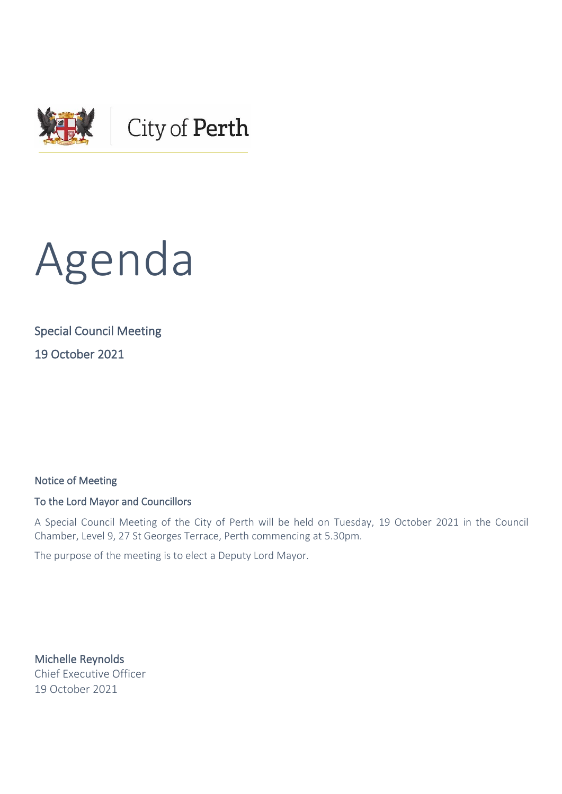



# Special Council Meeting 19 October 2021

Notice of Meeting

#### To the Lord Mayor and Councillors

A Special Council Meeting of the City of Perth will be held on Tuesday, 19 October 2021 in the Council Chamber, Level 9, 27 St Georges Terrace, Perth commencing at 5.30pm.

The purpose of the meeting is to elect a Deputy Lord Mayor.

Michelle Reynolds Chief Executive Officer 19 October 2021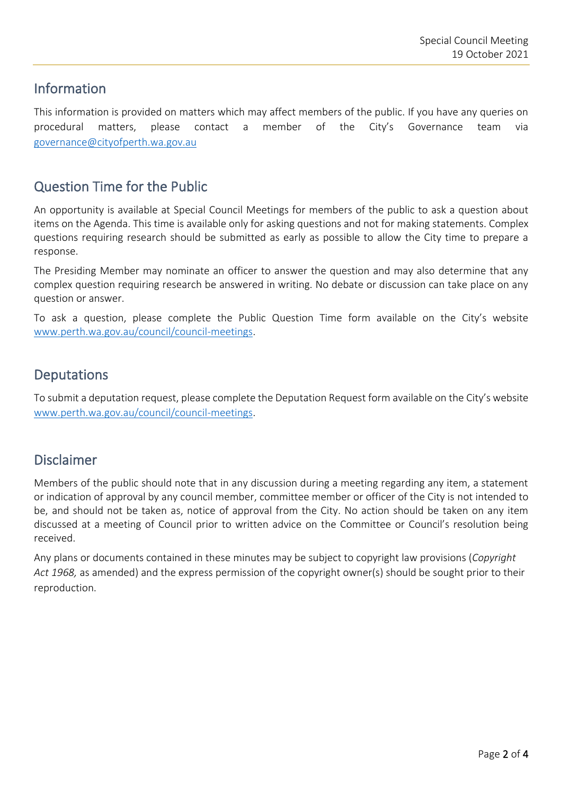### Information

This information is provided on matters which may affect members of the public. If you have any queries on procedural matters, please contact a member of the City's Governance team via [governance@cityofperth.wa.gov.au](mailto:governance@cityofperth.wa.gov.au)

# Question Time for the Public

An opportunity is available at Special Council Meetings for members of the public to ask a question about items on the Agenda. This time is available only for asking questions and not for making statements. Complex questions requiring research should be submitted as early as possible to allow the City time to prepare a response.

The Presiding Member may nominate an officer to answer the question and may also determine that any complex question requiring research be answered in writing. No debate or discussion can take place on any question or answer.

To ask a question, please complete the Public Question Time form available on the City's website [www.perth.wa.gov.au/council/council-meetings.](http://www.perth.wa.gov.au/council/council-meetings)

# **Deputations**

To submit a deputation request, please complete the Deputation Request form available on the City's website [www.perth.wa.gov.au/council/council-meetings.](http://www.perth.wa.gov.au/council/council-meetings)

## Disclaimer

Members of the public should note that in any discussion during a meeting regarding any item, a statement or indication of approval by any council member, committee member or officer of the City is not intended to be, and should not be taken as, notice of approval from the City. No action should be taken on any item discussed at a meeting of Council prior to written advice on the Committee or Council's resolution being received.

Any plans or documents contained in these minutes may be subject to copyright law provisions (*Copyright Act 1968,* as amended) and the express permission of the copyright owner(s) should be sought prior to their reproduction.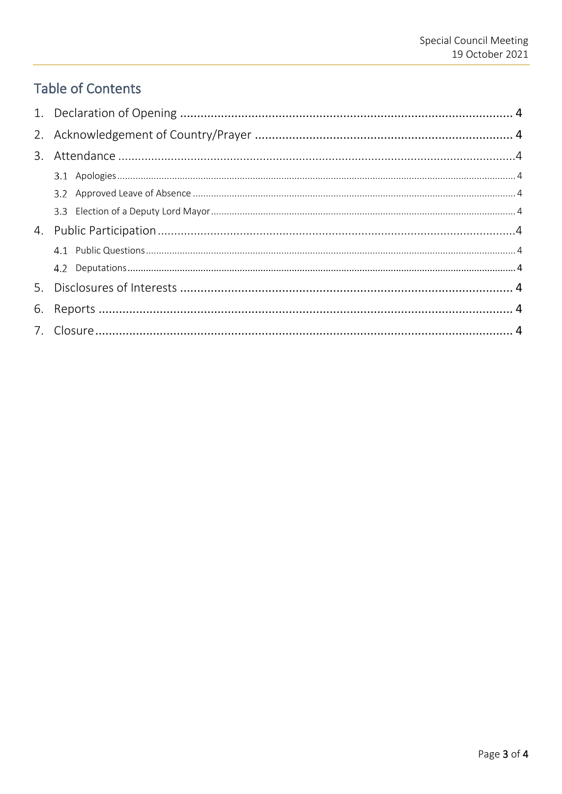# **Table of Contents**

| 6. |  |
|----|--|
|    |  |
|    |  |